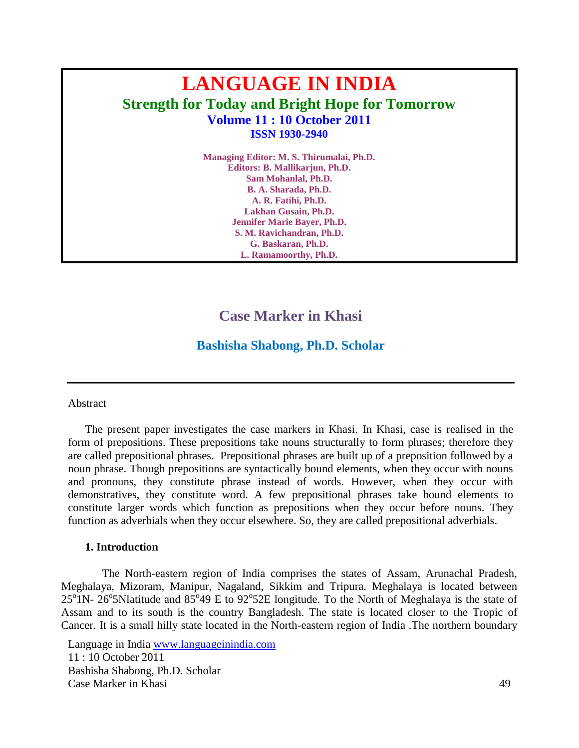# **LANGUAGE IN INDIA Strength for Today and Bright Hope for Tomorrow Volume 11 : 10 October 2011 ISSN 1930-2940**

**Managing Editor: M. S. Thirumalai, Ph.D. Editors: B. Mallikarjun, Ph.D. Sam Mohanlal, Ph.D. B. A. Sharada, Ph.D. A. R. Fatihi, Ph.D. Lakhan Gusain, Ph.D. Jennifer Marie Bayer, Ph.D. S. M. Ravichandran, Ph.D. G. Baskaran, Ph.D. L. Ramamoorthy, Ph.D.**

# **Case Marker in Khasi**

# **Bashisha Shabong, Ph.D. Scholar**

#### Abstract

The present paper investigates the case markers in Khasi. In Khasi, case is realised in the form of prepositions. These prepositions take nouns structurally to form phrases; therefore they are called prepositional phrases. Prepositional phrases are built up of a preposition followed by a noun phrase. Though prepositions are syntactically bound elements, when they occur with nouns and pronouns, they constitute phrase instead of words. However, when they occur with demonstratives, they constitute word. A few prepositional phrases take bound elements to constitute larger words which function as prepositions when they occur before nouns. They function as adverbials when they occur elsewhere. So, they are called prepositional adverbials.

#### **1. Introduction**

The North-eastern region of India comprises the states of Assam, Arunachal Pradesh, Meghalaya, Mizoram, Manipur, Nagaland, Sikkim and Tripura. Meghalaya is located between  $25^{\circ}$  1N-  $26^{\circ}$ 5Nlatitude and  $85^{\circ}$ 49 E to 92°52E longitude. To the North of Meghalaya is the state of Assam and to its south is the country Bangladesh. The state is located closer to the Tropic of Cancer. It is a small hilly state located in the North-eastern region of India .The northern boundary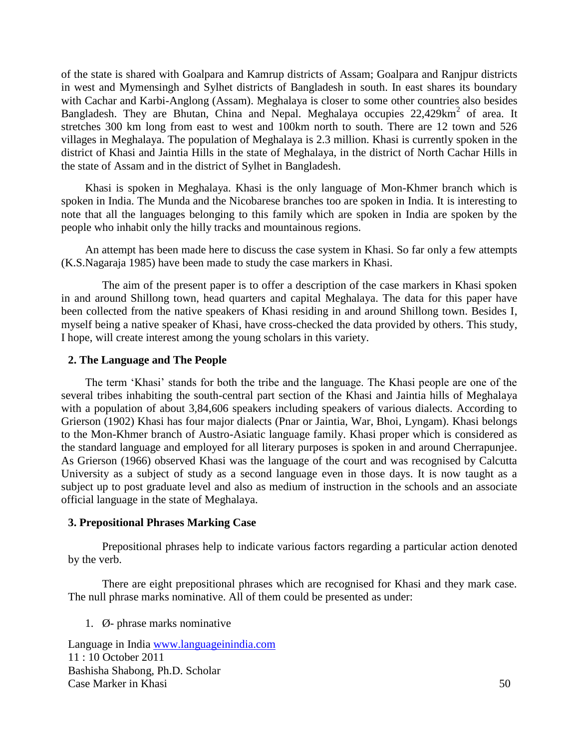of the state is shared with Goalpara and Kamrup districts of Assam; Goalpara and Ranjpur districts in west and Mymensingh and Sylhet districts of Bangladesh in south. In east shares its boundary with Cachar and Karbi-Anglong (Assam). Meghalaya is closer to some other countries also besides Bangladesh. They are Bhutan, China and Nepal. Meghalaya occupies 22,429km<sup>2</sup> of area. It stretches 300 km long from east to west and 100km north to south. There are 12 town and 526 villages in Meghalaya. The population of Meghalaya is 2.3 million. Khasi is currently spoken in the district of Khasi and Jaintia Hills in the state of Meghalaya, in the district of North Cachar Hills in the state of Assam and in the district of Sylhet in Bangladesh.

Khasi is spoken in Meghalaya. Khasi is the only language of Mon-Khmer branch which is spoken in India. The Munda and the Nicobarese branches too are spoken in India. It is interesting to note that all the languages belonging to this family which are spoken in India are spoken by the people who inhabit only the hilly tracks and mountainous regions.

An attempt has been made here to discuss the case system in Khasi. So far only a few attempts (K.S.Nagaraja 1985) have been made to study the case markers in Khasi.

The aim of the present paper is to offer a description of the case markers in Khasi spoken in and around Shillong town, head quarters and capital Meghalaya. The data for this paper have been collected from the native speakers of Khasi residing in and around Shillong town. Besides I, myself being a native speaker of Khasi, have cross-checked the data provided by others. This study, I hope, will create interest among the young scholars in this variety.

#### **2. The Language and The People**

The term 'Khasi' stands for both the tribe and the language. The Khasi people are one of the several tribes inhabiting the south-central part section of the Khasi and Jaintia hills of Meghalaya with a population of about 3,84,606 speakers including speakers of various dialects. According to Grierson (1902) Khasi has four major dialects (Pnar or Jaintia, War, Bhoi, Lyngam). Khasi belongs to the Mon-Khmer branch of Austro-Asiatic language family. Khasi proper which is considered as the standard language and employed for all literary purposes is spoken in and around Cherrapunjee. As Grierson (1966) observed Khasi was the language of the court and was recognised by Calcutta University as a subject of study as a second language even in those days. It is now taught as a subject up to post graduate level and also as medium of instruction in the schools and an associate official language in the state of Meghalaya.

#### **3. Prepositional Phrases Marking Case**

Prepositional phrases help to indicate various factors regarding a particular action denoted by the verb.

There are eight prepositional phrases which are recognised for Khasi and they mark case. The null phrase marks nominative. All of them could be presented as under:

1. Ø- phrase marks nominative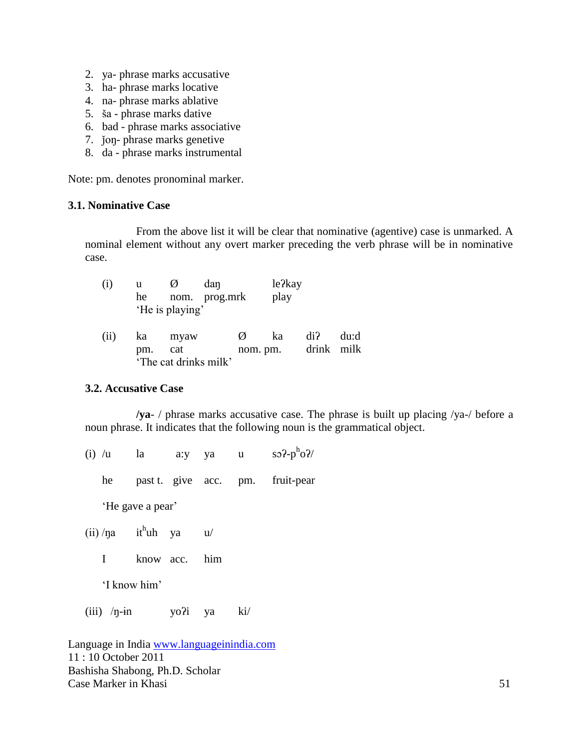- 2. ya- phrase marks accusative
- 3. ha- phrase marks locative
- 4. na- phrase marks ablative
- 5. ša phrase marks dative
- 6. bad phrase marks associative
- 7. ǰoŋ- phrase marks genetive
- 8. da phrase marks instrumental

Note: pm. denotes pronominal marker.

# **3.1. Nominative Case**

From the above list it will be clear that nominative (agentive) case is unmarked. A nominal element without any overt marker preceding the verb phrase will be in nominative case.

| (i)  | u<br>he   | Ø<br>'He is playing'                 | dan<br>nom. prog.mrk |   | le?kay<br>play |                   |      |
|------|-----------|--------------------------------------|----------------------|---|----------------|-------------------|------|
| (ii) | ka<br>pm. | myaw<br>cat<br>'The cat drinks milk' |                      | Ø | ka<br>nom. pm. | di?<br>drink milk | du:d |

#### **3.2. Accusative Case**

**/ya**- / phrase marks accusative case. The phrase is built up placing /ya-/ before a noun phrase. It indicates that the following noun is the grammatical object.

(i)  $/u$  la a:y ya u  $h_{\rm O}$ ?/

he past t. give acc. pm. fruit-pear

'He gave a pear'

- $(ii)$ /na it<sup>h</sup>uh ya u/
	- I know acc. him

'I know him'

(iii)  $/n$ -in yo?i ya ki/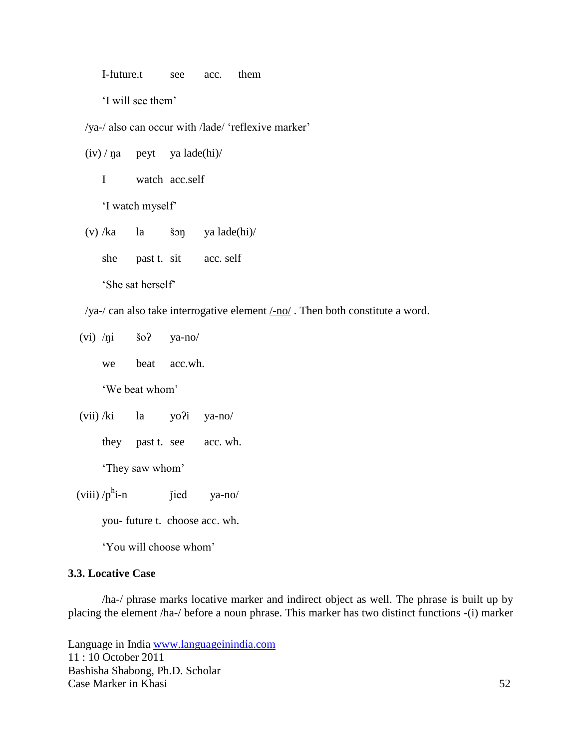I-future.t see acc. them

'I will see them'

/ya-/ also can occur with /lade/ 'reflexive marker'

 $(iv)$  /  $\eta$ a peyt ya lade(hi)/

I watch acc.self

'I watch myself'

(v) /ka la šɔŋ ya lade(hi)/

she past t. sit acc. self

'She sat herself'

/ya-/ can also take interrogative element  $\frac{\text{ }}{\text{ }}$  /no/. Then both constitute a word.

(vi) /ŋi šoʔ ya-no/

we beat acc.wh.

'We beat whom'

(vii) /ki la yoʔi ya-no/

they past t. see acc. wh.

'They saw whom'

(viii)  $/p^h$ i-n jied ya-no/

you- future t. choose acc. wh.

'You will choose whom'

### **3.3. Locative Case**

/ha-/ phrase marks locative marker and indirect object as well. The phrase is built up by placing the element /ha-/ before a noun phrase. This marker has two distinct functions -(i) marker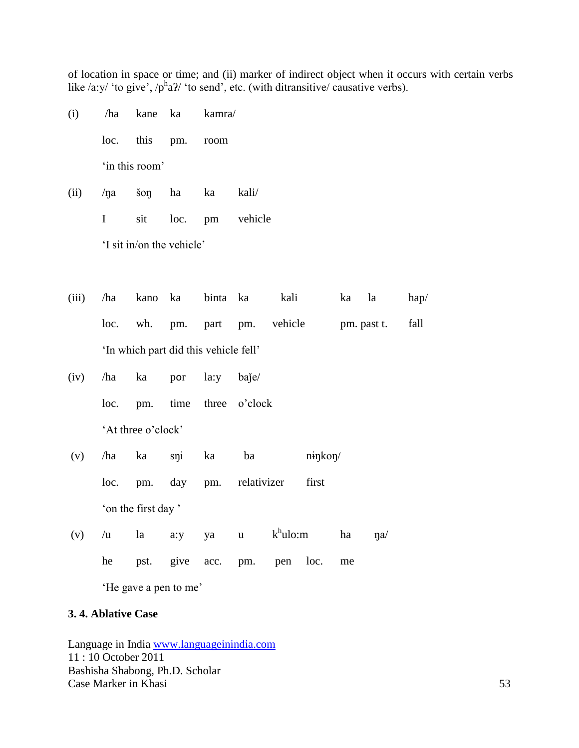of location in space or time; and (ii) marker of indirect object when it occurs with certain verbs like /a:y/ 'to give',  $/p^h a$ ?/ 'to send', etc. (with ditransitive/ causative verbs).

- (i) /ha kane ka kamra/ loc. this pm. room 'in this room'
- (ii) /ŋa šoŋ ha ka kali/ I sit loc. pm vehicle

'I sit in/on the vehicle'

- (iii) /ha kano ka binta ka kali ka la hap/ loc. wh. pm. part pm. vehicle pm. past t. fall 'In which part did this vehicle fell'
- (iv) /ha ka por la:y baǰe/ loc. pm. time three o'clock 'At three o'clock'
- (v) /ha ka sŋi ka ba nɨŋkoŋ/ loc. pm. day pm. relativizer first 'on the first day '
- (v) /u la a:y ya u k <sup>h</sup>ulo:m ha ŋa/ he pst. give acc. pm. pen loc. me 'He gave a pen to me'

# **3. 4. Ablative Case**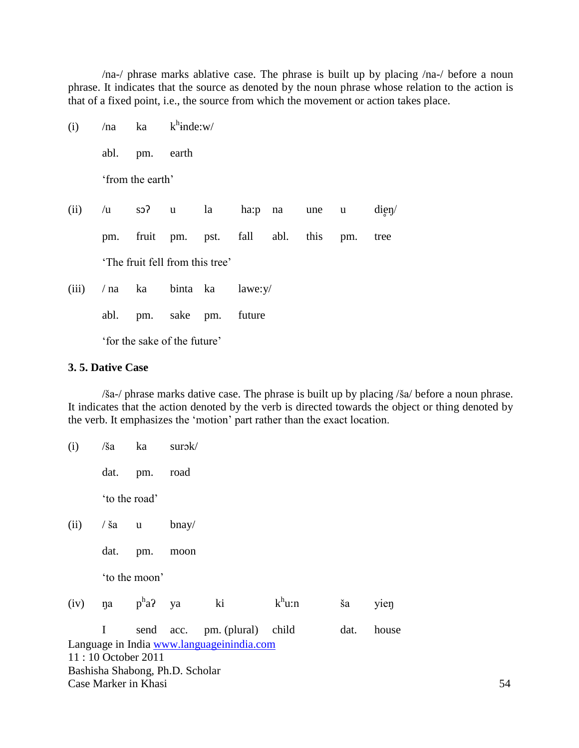/na-/ phrase marks ablative case. The phrase is built up by placing /na-/ before a noun phrase. It indicates that the source as denoted by the noun phrase whose relation to the action is that of a fixed point, i.e., the source from which the movement or action takes place.

 $(i)$  /na ka <sup>h</sup>inde:w/

abl. pm. earth

'from the earth'

- (ii)  $/u$  so? u la ha:p na une u dien/ pm. fruit pm. pst. fall abl. this pm. tree 'The fruit fell from this tree'
- (iii) / na ka binta ka lawe:y/ abl. pm. sake pm. future

'for the sake of the future'

# **3. 5. Dative Case**

/ša-/ phrase marks dative case. The phrase is built up by placing /ša/ before a noun phrase. It indicates that the action denoted by the verb is directed towards the object or thing denoted by the verb. It emphasizes the 'motion' part rather than the exact location.

| (i)  | /ša             | ka                              | surok/   |                                           |           |      |       |    |
|------|-----------------|---------------------------------|----------|-------------------------------------------|-----------|------|-------|----|
|      | dat.            | pm.                             | road     |                                           |           |      |       |    |
|      | 'to the road'   |                                 |          |                                           |           |      |       |    |
| (ii) | $\frac{1}{3}$ a | $\mathbf u$                     | $b$ nay/ |                                           |           |      |       |    |
|      | dat.            | pm.                             | moon     |                                           |           |      |       |    |
|      |                 | 'to the moon'                   |          |                                           |           |      |       |    |
| (iv) | na              | $p^h a$ ? ya                    |          | ki                                        | $k^h$ u:n | ša   | yien  |    |
|      | I               | send acc.                       |          | pm. (plural)                              | child     | dat. | house |    |
|      |                 |                                 |          | Language in India www.languageinindia.com |           |      |       |    |
|      |                 | 11:10 October 2011              |          |                                           |           |      |       |    |
|      |                 | Bashisha Shabong, Ph.D. Scholar |          |                                           |           |      |       |    |
|      |                 | Case Marker in Khasi            |          |                                           |           |      |       | 54 |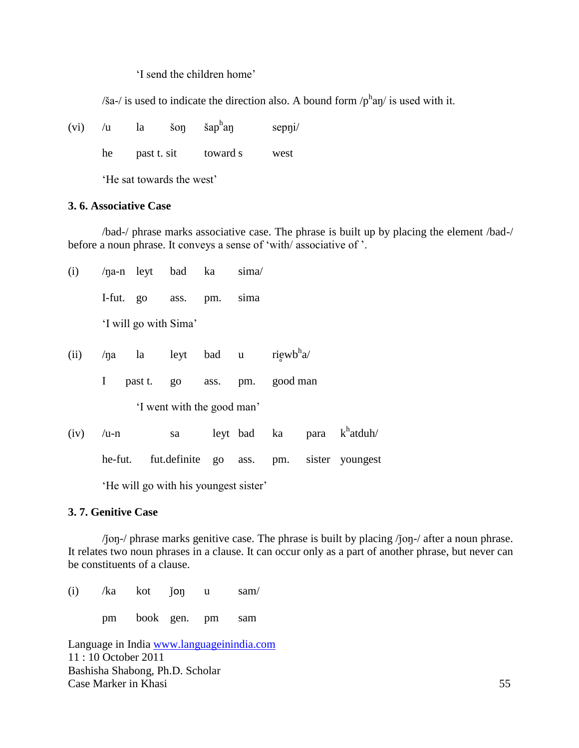'I send the children home'

 $\delta$  / is used to indicate the direction also. A bound form  $\sqrt{p}$ <sup>h</sup>and is used with it.

| (vi) |  | $\check{\mathrm{s}}$ on | šap <sup>h</sup> aŋ | sepni/ |
|------|--|-------------------------|---------------------|--------|
|      |  |                         |                     |        |

he past t. sit toward s west

'He sat towards the west'

#### **3. 6. Associative Case**

/bad-/ phrase marks associative case. The phrase is built up by placing the element /bad-/ before a noun phrase. It conveys a sense of 'with/ associative of '.

| (i)  |         |                       | $/$ na-n leyt bad ka |                                  | sima |                   |                                          |
|------|---------|-----------------------|----------------------|----------------------------------|------|-------------------|------------------------------------------|
|      |         |                       | I-fut. go ass. pm.   |                                  | sima |                   |                                          |
|      |         | 'I will go with Sima' |                      |                                  |      |                   |                                          |
| (ii) |         | $/na$ la              |                      | leyt bad u riewb <sup>h</sup> a/ |      |                   |                                          |
|      | I       |                       | past t. go           |                                  |      | ass. pm. good man |                                          |
|      |         |                       |                      | 'I went with the good man'       |      |                   |                                          |
| (iv) | $/u-n$  |                       | sa                   |                                  |      |                   | leyt bad ka para k <sup>h</sup> atduh/   |
|      | he-fut. |                       |                      |                                  |      |                   | fut.definite go ass. pm. sister youngest |
|      |         |                       |                      |                                  |      |                   |                                          |

'He will go with his youngest sister'

# **3. 7. Genitive Case**

/ǰoŋ-/ phrase marks genitive case. The phrase is built by placing /ǰoŋ-/ after a noun phrase. It relates two noun phrases in a clause. It can occur only as a part of another phrase, but never can be constituents of a clause.

(i)  $/ka$  kot  $j\text{on}$  u sam $/$ pm book gen. pm sam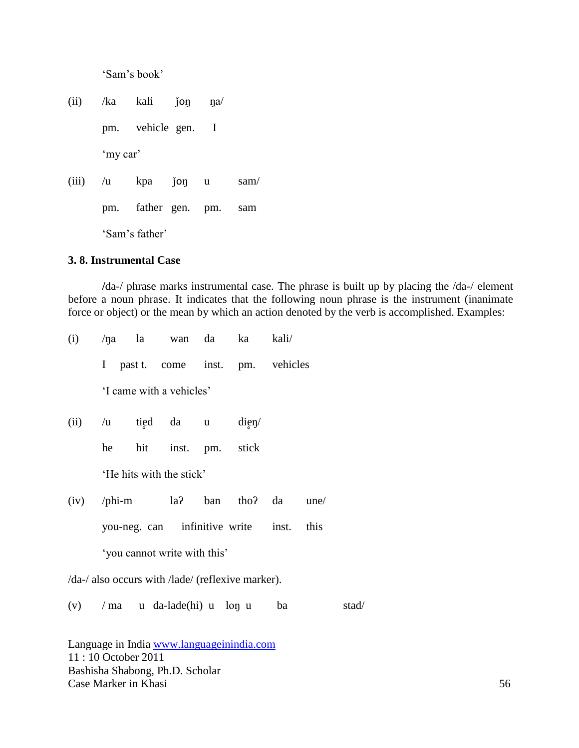'Sam's book'

(ii)  $/ka$  kali  $\gamma$ ion na pm. vehicle gen. I 'my car' (iii)  $/u$  kpa  $j$ oŋ u sam $/$ pm. father gen. pm. sam 'Sam's father'

#### **3. 8. Instrumental Case**

**/**da-/ phrase marks instrumental case. The phrase is built up by placing the /da-/ element before a noun phrase. It indicates that the following noun phrase is the instrument (inanimate force or object) or the mean by which an action denoted by the verb is accomplished. Examples:

| (i)  |                                  |  | /na la wan da ka kali/                            |    |       |
|------|----------------------------------|--|---------------------------------------------------|----|-------|
|      |                                  |  | I past t. come inst. pm. vehicles                 |    |       |
|      | 'I came with a vehicles'         |  |                                                   |    |       |
| (ii) | $/u$ tied da u dien              |  |                                                   |    |       |
|      | he hit inst. pm. stick           |  |                                                   |    |       |
|      | 'He hits with the stick'         |  |                                                   |    |       |
| (iv) |                                  |  | /phi-m $la$ $la$ $la$ $la$ $tan$ tho? $da$ une/   |    |       |
|      |                                  |  | you-neg. can infinitive write inst. this          |    |       |
|      | 'you cannot write with this'     |  |                                                   |    |       |
|      |                                  |  | /da-/ also occurs with /lade/ (reflexive marker). |    |       |
|      | $(v)$ / ma u da-lade(hi) u lon u |  |                                                   | ba | stad/ |
|      |                                  |  |                                                   |    |       |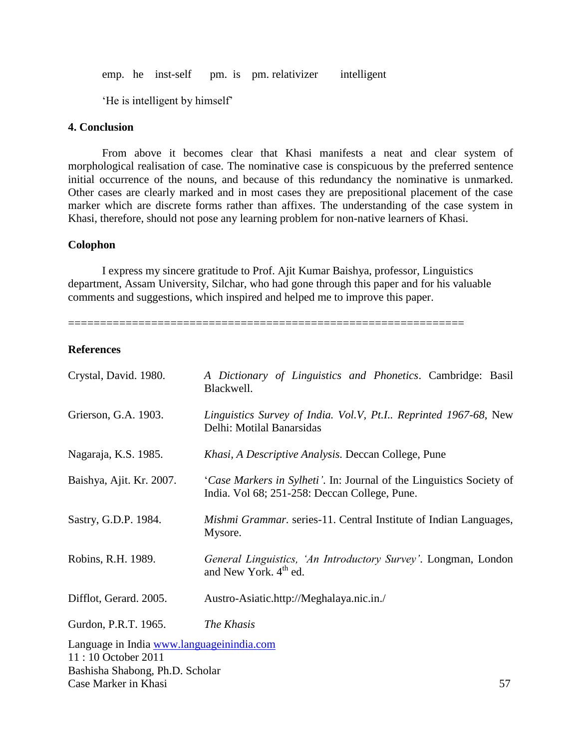emp. he inst-self pm. is pm. relativizer intelligent

'He is intelligent by himself'

# **4. Conclusion**

From above it becomes clear that Khasi manifests a neat and clear system of morphological realisation of case. The nominative case is conspicuous by the preferred sentence initial occurrence of the nouns, and because of this redundancy the nominative is unmarked. Other cases are clearly marked and in most cases they are prepositional placement of the case marker which are discrete forms rather than affixes. The understanding of the case system in Khasi, therefore, should not pose any learning problem for non-native learners of Khasi.

#### **Colophon**

I express my sincere gratitude to Prof. Ajit Kumar Baishya, professor, Linguistics department, Assam University, Silchar, who had gone through this paper and for his valuable comments and suggestions, which inspired and helped me to improve this paper.

==============================================================

# **References**

| Crystal, David. 1980.                                                                              | A Dictionary of Linguistics and Phonetics. Cambridge: Basil<br>Blackwell.                                             |
|----------------------------------------------------------------------------------------------------|-----------------------------------------------------------------------------------------------------------------------|
| Grierson, G.A. 1903.                                                                               | Linguistics Survey of India. Vol.V, Pt.I Reprinted 1967-68, New<br>Delhi: Motilal Banarsidas                          |
| Nagaraja, K.S. 1985.                                                                               | Khasi, A Descriptive Analysis. Deccan College, Pune                                                                   |
| Baishya, Ajit. Kr. 2007.                                                                           | 'Case Markers in Sylheti'. In: Journal of the Linguistics Society of<br>India. Vol 68; 251-258: Deccan College, Pune. |
| Sastry, G.D.P. 1984.                                                                               | Mishmi Grammar. series-11. Central Institute of Indian Languages,<br>Mysore.                                          |
| Robins, R.H. 1989.                                                                                 | General Linguistics, 'An Introductory Survey'. Longman, London<br>and New York. 4 <sup>th</sup> ed.                   |
| Difflot, Gerard. 2005.                                                                             | Austro-Asiatic.http://Meghalaya.nic.in./                                                                              |
| Gurdon, P.R.T. 1965.                                                                               | The Khasis                                                                                                            |
| Language in India www.languageinindia.com<br>11:10 October 2011<br>Bashisha Shabong, Ph.D. Scholar |                                                                                                                       |

Case Marker in Khasi 57